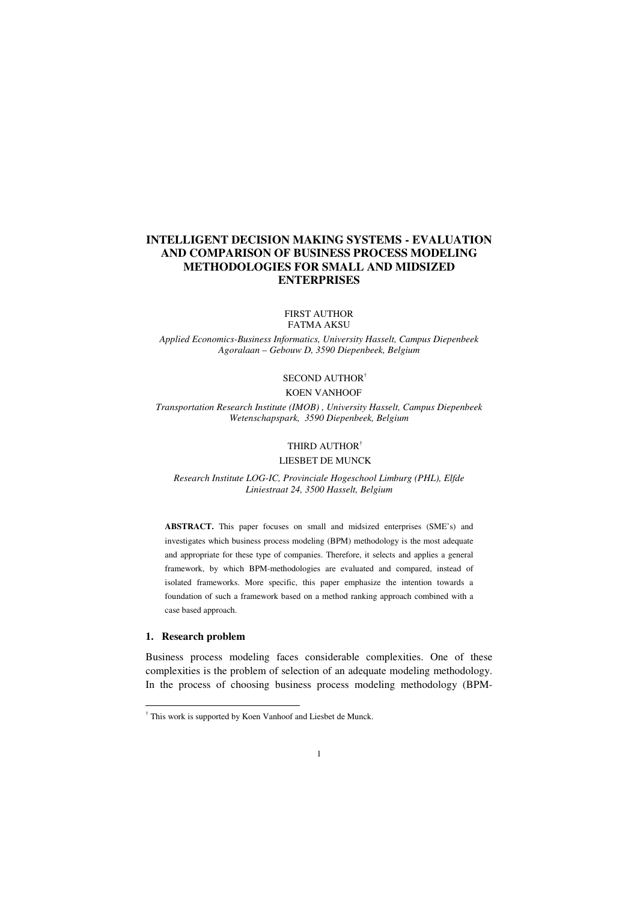# **INTELLIGENT DECISION MAKING SYSTEMS - EVALUATION AND COMPARISON OF BUSINESS PROCESS MODELING METHODOLOGIES FOR SMALL AND MIDSIZED ENTERPRISES**

#### FIRST AUTHOR FATMA AKSU

*Applied Economics-Business Informatics, University Hasselt, Campus Diepenbeek Agoralaan – Gebouw D, 3590 Diepenbeek, Belgium* 

# SECOND AUTHOR†

# KOEN VANHOOF

*Transportation Research Institute (IMOB) , University Hasselt, Campus Diepenbeek Wetenschapspark, 3590 Diepenbeek, Belgium* 

#### THIRD AUTHOR†

#### LIESBET DE MUNCK

*Research Institute LOG-IC, Provinciale Hogeschool Limburg (PHL), Elfde Liniestraat 24, 3500 Hasselt, Belgium* 

**ABSTRACT.** This paper focuses on small and midsized enterprises (SME's) and investigates which business process modeling (BPM) methodology is the most adequate and appropriate for these type of companies. Therefore, it selects and applies a general framework, by which BPM-methodologies are evaluated and compared, instead of isolated frameworks. More specific, this paper emphasize the intention towards a foundation of such a framework based on a method ranking approach combined with a case based approach.

#### **1. Research problem**

-

Business process modeling faces considerable complexities. One of these complexities is the problem of selection of an adequate modeling methodology. In the process of choosing business process modeling methodology (BPM-

<sup>†</sup> This work is supported by Koen Vanhoof and Liesbet de Munck.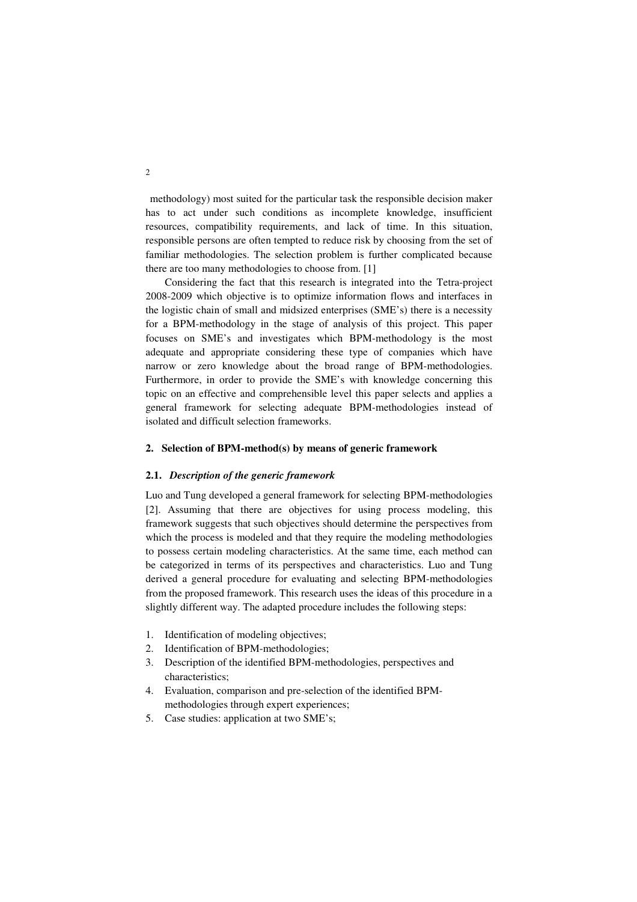methodology) most suited for the particular task the responsible decision maker has to act under such conditions as incomplete knowledge, insufficient resources, compatibility requirements, and lack of time. In this situation, responsible persons are often tempted to reduce risk by choosing from the set of familiar methodologies. The selection problem is further complicated because there are too many methodologies to choose from. [1]

Considering the fact that this research is integrated into the Tetra-project 2008-2009 which objective is to optimize information flows and interfaces in the logistic chain of small and midsized enterprises (SME's) there is a necessity for a BPM-methodology in the stage of analysis of this project. This paper focuses on SME's and investigates which BPM-methodology is the most adequate and appropriate considering these type of companies which have narrow or zero knowledge about the broad range of BPM-methodologies. Furthermore, in order to provide the SME's with knowledge concerning this topic on an effective and comprehensible level this paper selects and applies a general framework for selecting adequate BPM-methodologies instead of isolated and difficult selection frameworks.

#### **2. Selection of BPM-method(s) by means of generic framework**

## **2.1.** *Description of the generic framework*

Luo and Tung developed a general framework for selecting BPM-methodologies [2]. Assuming that there are objectives for using process modeling, this framework suggests that such objectives should determine the perspectives from which the process is modeled and that they require the modeling methodologies to possess certain modeling characteristics. At the same time, each method can be categorized in terms of its perspectives and characteristics. Luo and Tung derived a general procedure for evaluating and selecting BPM-methodologies from the proposed framework. This research uses the ideas of this procedure in a slightly different way. The adapted procedure includes the following steps:

- 1. Identification of modeling objectives;
- 2. Identification of BPM-methodologies;
- 3. Description of the identified BPM-methodologies, perspectives and characteristics;
- 4. Evaluation, comparison and pre-selection of the identified BPMmethodologies through expert experiences;
- 5. Case studies: application at two SME's;

2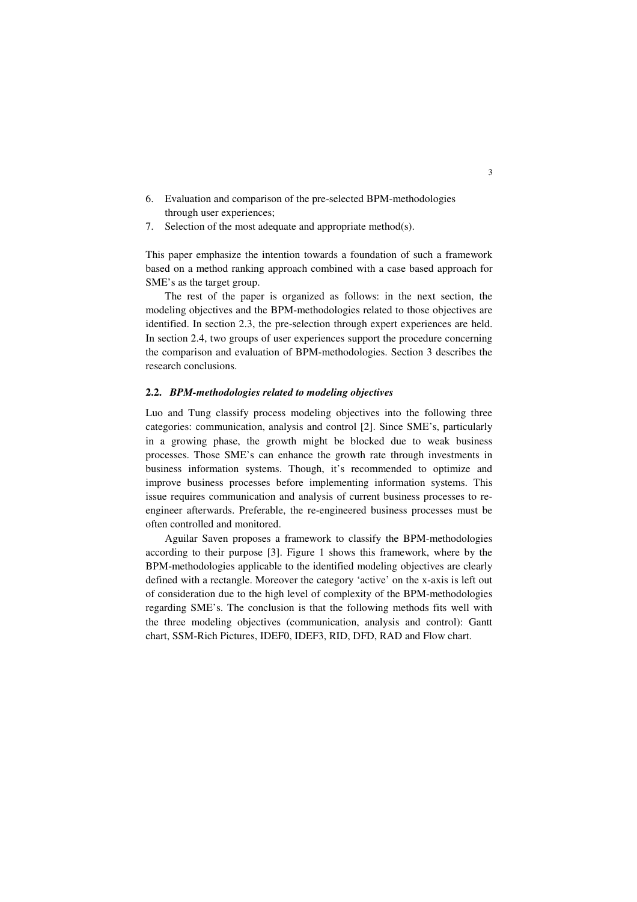- 6. Evaluation and comparison of the pre-selected BPM-methodologies through user experiences;
- 7. Selection of the most adequate and appropriate method(s).

This paper emphasize the intention towards a foundation of such a framework based on a method ranking approach combined with a case based approach for SME's as the target group.

The rest of the paper is organized as follows: in the next section, the modeling objectives and the BPM-methodologies related to those objectives are identified. In section 2.3, the pre-selection through expert experiences are held. In section 2.4, two groups of user experiences support the procedure concerning the comparison and evaluation of BPM-methodologies. Section 3 describes the research conclusions.

#### **2.2.** *BPM-methodologies related to modeling objectives*

Luo and Tung classify process modeling objectives into the following three categories: communication, analysis and control [2]. Since SME's, particularly in a growing phase, the growth might be blocked due to weak business processes. Those SME's can enhance the growth rate through investments in business information systems. Though, it's recommended to optimize and improve business processes before implementing information systems. This issue requires communication and analysis of current business processes to reengineer afterwards. Preferable, the re-engineered business processes must be often controlled and monitored.

Aguilar Saven proposes a framework to classify the BPM-methodologies according to their purpose [3]. Figure 1 shows this framework, where by the BPM-methodologies applicable to the identified modeling objectives are clearly defined with a rectangle. Moreover the category 'active' on the x-axis is left out of consideration due to the high level of complexity of the BPM-methodologies regarding SME's. The conclusion is that the following methods fits well with the three modeling objectives (communication, analysis and control): Gantt chart, SSM-Rich Pictures, IDEF0, IDEF3, RID, DFD, RAD and Flow chart.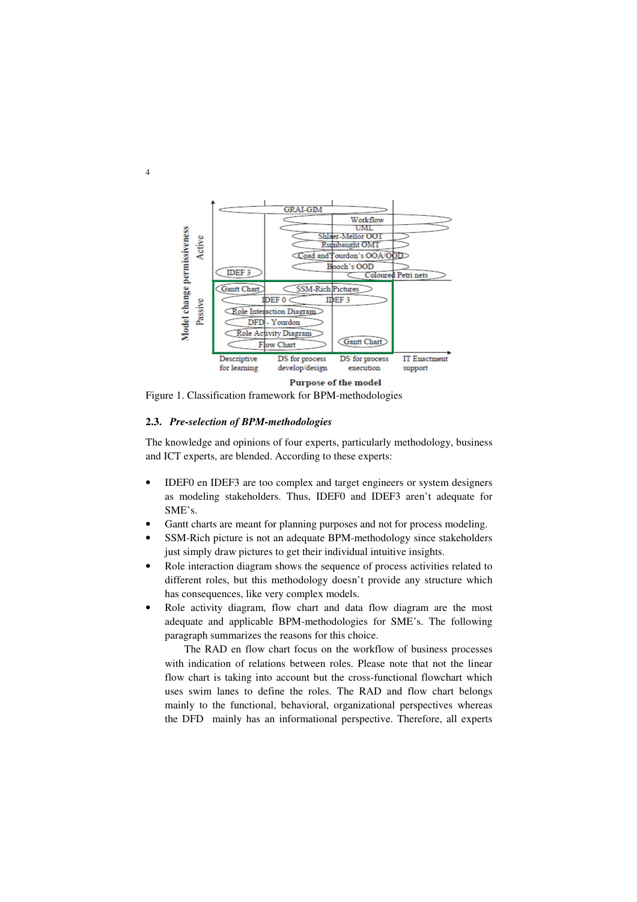

Figure 1. Classification framework for BPM-methodologies

### **2.3.** *Pre-selection of BPM-methodologies*

The knowledge and opinions of four experts, particularly methodology, business and ICT experts, are blended. According to these experts:

- IDEF0 en IDEF3 are too complex and target engineers or system designers as modeling stakeholders. Thus, IDEF0 and IDEF3 aren't adequate for SME's.
- Gantt charts are meant for planning purposes and not for process modeling.
- SSM-Rich picture is not an adequate BPM-methodology since stakeholders just simply draw pictures to get their individual intuitive insights.
- Role interaction diagram shows the sequence of process activities related to different roles, but this methodology doesn't provide any structure which has consequences, like very complex models.
- Role activity diagram, flow chart and data flow diagram are the most adequate and applicable BPM-methodologies for SME's. The following paragraph summarizes the reasons for this choice.

The RAD en flow chart focus on the workflow of business processes with indication of relations between roles. Please note that not the linear flow chart is taking into account but the cross-functional flowchart which uses swim lanes to define the roles. The RAD and flow chart belongs mainly to the functional, behavioral, organizational perspectives whereas the DFD mainly has an informational perspective. Therefore, all experts

4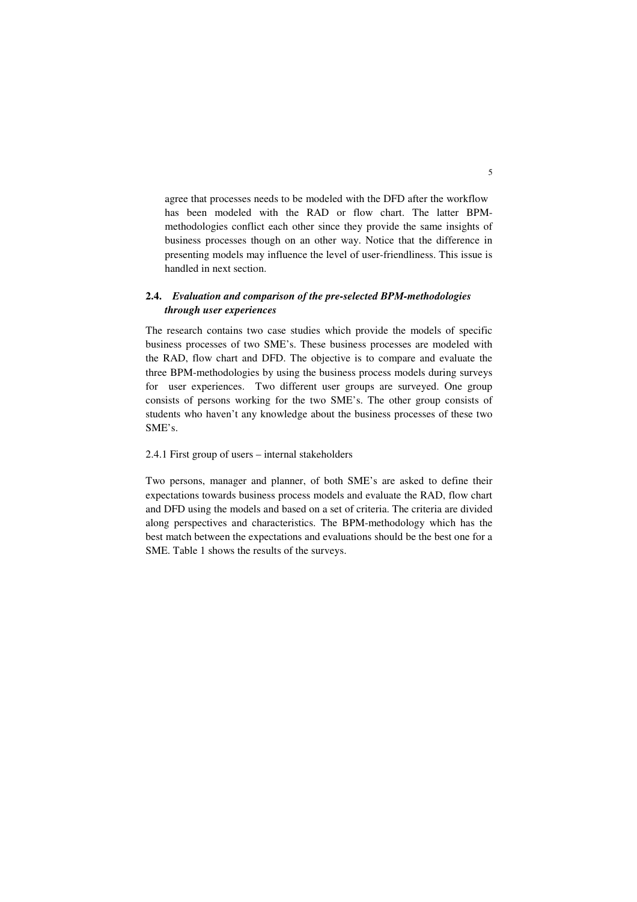agree that processes needs to be modeled with the DFD after the workflow has been modeled with the RAD or flow chart. The latter BPMmethodologies conflict each other since they provide the same insights of business processes though on an other way. Notice that the difference in presenting models may influence the level of user-friendliness. This issue is handled in next section.

## **2.4.** *Evaluation and comparison of the pre-selected BPM-methodologies through user experiences*

The research contains two case studies which provide the models of specific business processes of two SME's. These business processes are modeled with the RAD, flow chart and DFD. The objective is to compare and evaluate the three BPM-methodologies by using the business process models during surveys for user experiences. Two different user groups are surveyed. One group consists of persons working for the two SME's. The other group consists of students who haven't any knowledge about the business processes of these two SME's.

## 2.4.1 First group of users – internal stakeholders

Two persons, manager and planner, of both SME's are asked to define their expectations towards business process models and evaluate the RAD, flow chart and DFD using the models and based on a set of criteria. The criteria are divided along perspectives and characteristics. The BPM-methodology which has the best match between the expectations and evaluations should be the best one for a SME. Table 1 shows the results of the surveys.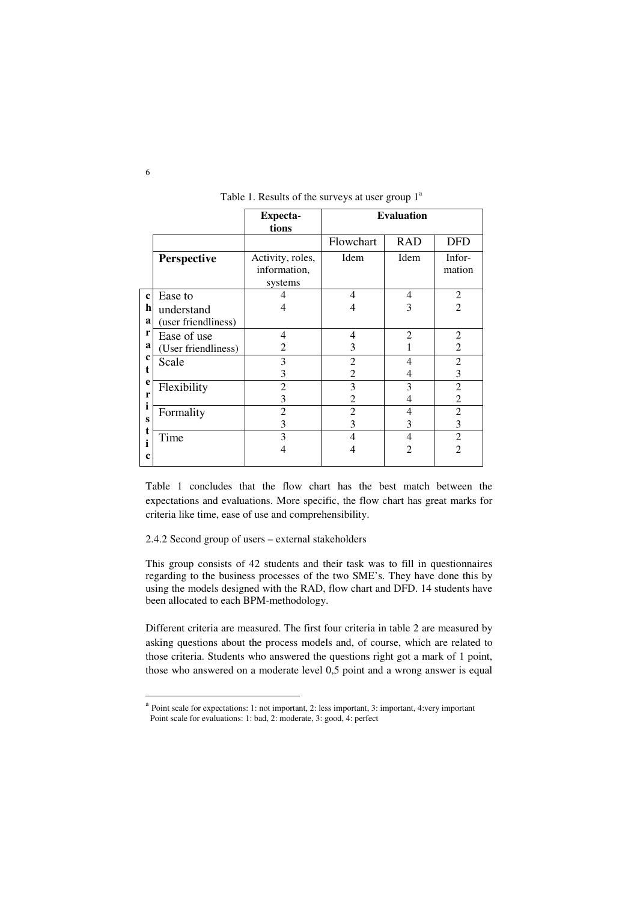|                                                                |                     | <b>Expecta-</b><br>tions                    | <b>Evaluation</b> |                |                  |
|----------------------------------------------------------------|---------------------|---------------------------------------------|-------------------|----------------|------------------|
|                                                                |                     |                                             | Flowchart         | <b>RAD</b>     | <b>DFD</b>       |
|                                                                | <b>Perspective</b>  | Activity, roles,<br>information,<br>systems | Idem              | Idem           | Infor-<br>mation |
| $\mathbf c$<br>h<br>a<br>r<br>a<br>$\mathbf c$<br>t.<br>e<br>r | Ease to             |                                             | 4                 | 4              | 2                |
|                                                                | understand          |                                             | 4                 | 3              | $\overline{2}$   |
|                                                                | (user friendliness) |                                             |                   |                |                  |
|                                                                | Ease of use         | $\overline{4}$                              | 4                 | $\overline{2}$ | $\overline{2}$   |
|                                                                | (User friendliness) | 2                                           | 3                 |                | 2                |
|                                                                | Scale               | 3                                           | 2                 | 4              | $\overline{2}$   |
|                                                                |                     | 3                                           | 2                 | 4              | 3                |
|                                                                | Flexibility         | $\overline{2}$                              | 3                 | 3              | $\mathfrak{D}$   |
|                                                                |                     | 3                                           | 2                 | 4              | $\overline{c}$   |
| Ť                                                              | Formality           | 2                                           | 2                 | 4              | $\overline{2}$   |
| S                                                              |                     | 3                                           | 3                 | 3              | 3                |
|                                                                | Time                | 3                                           | 4                 | 4              | $\overline{2}$   |
| c                                                              |                     |                                             | 4                 | $\mathfrak{D}$ | $\mathfrak{D}$   |

#### Table 1. Results of the surveys at user group  $1^a$

Table 1 concludes that the flow chart has the best match between the expectations and evaluations. More specific, the flow chart has great marks for criteria like time, ease of use and comprehensibility.

2.4.2 Second group of users – external stakeholders

This group consists of 42 students and their task was to fill in questionnaires regarding to the business processes of the two SME's. They have done this by using the models designed with the RAD, flow chart and DFD. 14 students have been allocated to each BPM-methodology.

Different criteria are measured. The first four criteria in table 2 are measured by asking questions about the process models and, of course, which are related to those criteria. Students who answered the questions right got a mark of 1 point, those who answered on a moderate level 0,5 point and a wrong answer is equal

-

<sup>&</sup>lt;sup>a</sup> Point scale for expectations: 1: not important, 2: less important, 3: important, 4:very important Point scale for evaluations: 1: bad, 2: moderate, 3: good, 4: perfect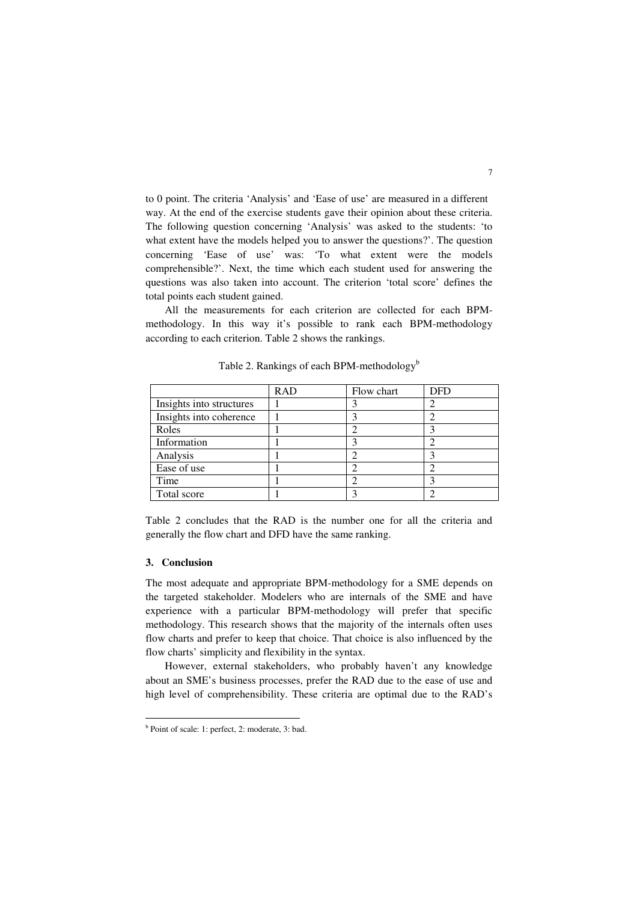to 0 point. The criteria 'Analysis' and 'Ease of use' are measured in a different way. At the end of the exercise students gave their opinion about these criteria. The following question concerning 'Analysis' was asked to the students: 'to what extent have the models helped you to answer the questions?'. The question concerning 'Ease of use' was: 'To what extent were the models comprehensible?'. Next, the time which each student used for answering the questions was also taken into account. The criterion 'total score' defines the total points each student gained.

All the measurements for each criterion are collected for each BPMmethodology. In this way it's possible to rank each BPM-methodology according to each criterion. Table 2 shows the rankings.

|                          | <b>RAD</b> | Flow chart | <b>DFD</b> |
|--------------------------|------------|------------|------------|
| Insights into structures |            |            |            |
| Insights into coherence  |            |            |            |
| Roles                    |            |            |            |
| Information              |            |            |            |
| Analysis                 |            |            |            |
| Ease of use              |            |            |            |
| Time                     |            |            |            |
| Total score              |            |            |            |

Table 2. Rankings of each BPM-methodology<sup>b</sup>

Table 2 concludes that the RAD is the number one for all the criteria and generally the flow chart and DFD have the same ranking.

### **3. Conclusion**

-

The most adequate and appropriate BPM-methodology for a SME depends on the targeted stakeholder. Modelers who are internals of the SME and have experience with a particular BPM-methodology will prefer that specific methodology. This research shows that the majority of the internals often uses flow charts and prefer to keep that choice. That choice is also influenced by the flow charts' simplicity and flexibility in the syntax.

However, external stakeholders, who probably haven't any knowledge about an SME's business processes, prefer the RAD due to the ease of use and high level of comprehensibility. These criteria are optimal due to the RAD's

b Point of scale: 1: perfect, 2: moderate, 3: bad.